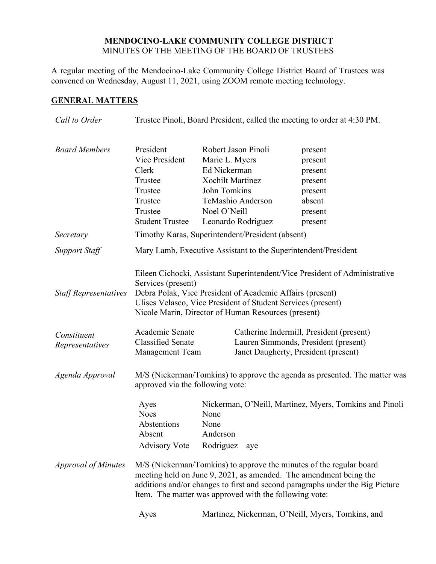### **MENDOCINO-LAKE COMMUNITY COLLEGE DISTRICT** MINUTES OF THE MEETING OF THE BOARD OF TRUSTEES

A regular meeting of the Mendocino-Lake Community College District Board of Trustees was convened on Wednesday, August 11, 2021, using ZOOM remote meeting technology.

### **GENERAL MATTERS**

| Call to Order                               | Trustee Pinoli, Board President, called the meeting to order at 4:30 PM.                                                                                                                                                                                                                                                                            |                                                                                                                                                             |                                                                                     |
|---------------------------------------------|-----------------------------------------------------------------------------------------------------------------------------------------------------------------------------------------------------------------------------------------------------------------------------------------------------------------------------------------------------|-------------------------------------------------------------------------------------------------------------------------------------------------------------|-------------------------------------------------------------------------------------|
| <b>Board Members</b>                        | President<br>Vice President<br>Clerk<br>Trustee<br>Trustee<br>Trustee<br>Trustee<br><b>Student Trustee</b>                                                                                                                                                                                                                                          | Robert Jason Pinoli<br>Marie L. Myers<br>Ed Nickerman<br><b>Xochilt Martinez</b><br>John Tomkins<br>TeMashio Anderson<br>Noel O'Neill<br>Leonardo Rodriguez | present<br>present<br>present<br>present<br>present<br>absent<br>present<br>present |
| Secretary                                   |                                                                                                                                                                                                                                                                                                                                                     | Timothy Karas, Superintendent/President (absent)                                                                                                            |                                                                                     |
| <b>Support Staff</b>                        | Mary Lamb, Executive Assistant to the Superintendent/President                                                                                                                                                                                                                                                                                      |                                                                                                                                                             |                                                                                     |
| <b>Staff Representatives</b><br>Constituent | Eileen Cichocki, Assistant Superintendent/Vice President of Administrative<br>Services (present)<br>Debra Polak, Vice President of Academic Affairs (present)<br>Ulises Velasco, Vice President of Student Services (present)<br>Nicole Marin, Director of Human Resources (present)<br>Academic Senate<br>Catherine Indermill, President (present) |                                                                                                                                                             |                                                                                     |
| Representatives                             | <b>Classified Senate</b><br>Management Team                                                                                                                                                                                                                                                                                                         |                                                                                                                                                             | Lauren Simmonds, President (present)<br>Janet Daugherty, President (present)        |
| Agenda Approval                             | M/S (Nickerman/Tomkins) to approve the agenda as presented. The matter was<br>approved via the following vote:                                                                                                                                                                                                                                      |                                                                                                                                                             |                                                                                     |
|                                             | Ayes<br><b>Noes</b><br>Abstentions<br>Absent<br><b>Advisory Vote</b>                                                                                                                                                                                                                                                                                | None<br>None<br>Anderson<br>$Rodriguez - aye$                                                                                                               | Nickerman, O'Neill, Martinez, Myers, Tomkins and Pinoli                             |
| <i>Approval of Minutes</i>                  | M/S (Nickerman/Tomkins) to approve the minutes of the regular board<br>meeting held on June 9, 2021, as amended. The amendment being the<br>additions and/or changes to first and second paragraphs under the Big Picture<br>Item. The matter was approved with the following vote:                                                                 |                                                                                                                                                             |                                                                                     |
|                                             | Ayes                                                                                                                                                                                                                                                                                                                                                | Martinez, Nickerman, O'Neill, Myers, Tomkins, and                                                                                                           |                                                                                     |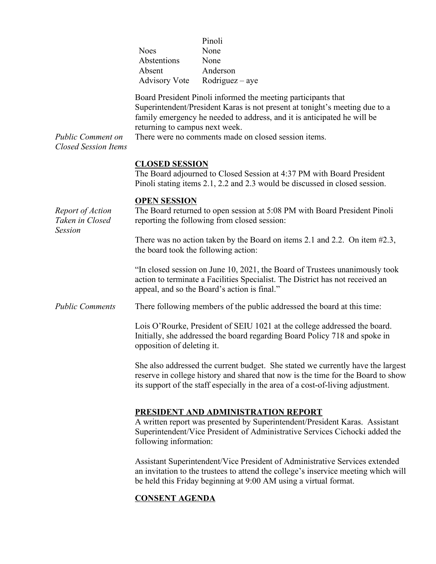|                                                         | <b>Noes</b><br>Abstentions<br>Absent<br><b>Advisory Vote</b>                                                          | Pinoli<br>None<br>None<br>Anderson<br>$Rodriguez - aye$                                                                                                                                                                                                                         |  |
|---------------------------------------------------------|-----------------------------------------------------------------------------------------------------------------------|---------------------------------------------------------------------------------------------------------------------------------------------------------------------------------------------------------------------------------------------------------------------------------|--|
| <b>Public Comment on</b><br><b>Closed Session Items</b> | returning to campus next week.                                                                                        | Board President Pinoli informed the meeting participants that<br>Superintendent/President Karas is not present at tonight's meeting due to a<br>family emergency he needed to address, and it is anticipated he will be<br>There were no comments made on closed session items. |  |
|                                                         | <b>CLOSED SESSION</b>                                                                                                 | The Board adjourned to Closed Session at 4:37 PM with Board President<br>Pinoli stating items 2.1, 2.2 and 2.3 would be discussed in closed session.                                                                                                                            |  |
| Report of Action<br>Taken in Closed                     | <b>OPEN SESSION</b>                                                                                                   | The Board returned to open session at 5:08 PM with Board President Pinoli<br>reporting the following from closed session:                                                                                                                                                       |  |
| <b>Session</b>                                          | There was no action taken by the Board on items 2.1 and 2.2. On item $#2.3$ ,<br>the board took the following action: |                                                                                                                                                                                                                                                                                 |  |
|                                                         |                                                                                                                       | "In closed session on June 10, 2021, the Board of Trustees unanimously took<br>action to terminate a Facilities Specialist. The District has not received an<br>appeal, and so the Board's action is final."                                                                    |  |
| <b>Public Comments</b>                                  |                                                                                                                       | There following members of the public addressed the board at this time:                                                                                                                                                                                                         |  |
|                                                         | opposition of deleting it.                                                                                            | Lois O'Rourke, President of SEIU 1021 at the college addressed the board.<br>Initially, she addressed the board regarding Board Policy 718 and spoke in                                                                                                                         |  |
|                                                         |                                                                                                                       | She also addressed the current budget. She stated we currently have the largest<br>reserve in college history and shared that now is the time for the Board to show<br>its support of the staff especially in the area of a cost-of-living adjustment.                          |  |
|                                                         | following information:                                                                                                | PRESIDENT AND ADMINISTRATION REPORT<br>A written report was presented by Superintendent/President Karas. Assistant<br>Superintendent/Vice President of Administrative Services Cichocki added the                                                                               |  |
|                                                         |                                                                                                                       | Assistant Superintendent/Vice President of Administrative Services extended<br>an invitation to the trustees to attend the college's inservice meeting which will<br>be held this Friday beginning at 9:00 AM using a virtual format.                                           |  |

# **CONSENT AGENDA**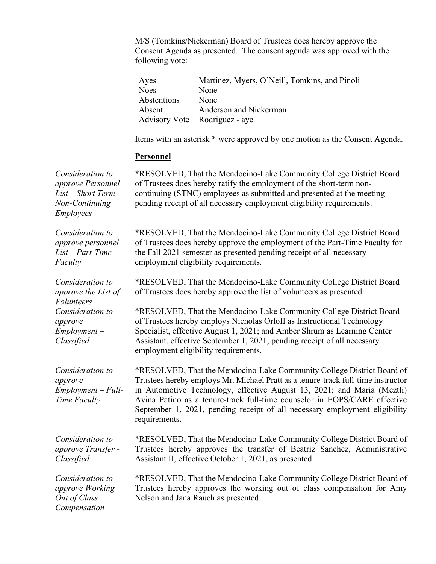M/S (Tomkins/Nickerman) Board of Trustees does hereby approve the Consent Agenda as presented. The consent agenda was approved with the following vote:

| Ayes        | Martinez, Myers, O'Neill, Tomkins, and Pinoli |
|-------------|-----------------------------------------------|
| <b>Noes</b> | None                                          |
| Abstentions | None                                          |
| Absent      | Anderson and Nickerman                        |
|             | Advisory Vote Rodriguez - aye                 |

Items with an asterisk \* were approved by one motion as the Consent Agenda.

#### **Personnel**

*Consideration to approve Personnel List – Short Term Non-Continuing Employees*

*Consideration to approve personnel List – Part-Time* 

*Consideration to approve the List of* 

*Consideration to* 

*Consideration to* 

*Time Faculty*

*Faculty*

*Volunteers*

*approve Employment – Classified*

*approve* 

\*RESOLVED, That the Mendocino-Lake Community College District Board of Trustees does hereby ratify the employment of the short-term noncontinuing (STNC) employees as submitted and presented at the meeting pending receipt of all necessary employment eligibility requirements.

\*RESOLVED, That the Mendocino-Lake Community College District Board of Trustees does hereby approve the employment of the Part-Time Faculty for the Fall 2021 semester as presented pending receipt of all necessary employment eligibility requirements.

\*RESOLVED, That the Mendocino-Lake Community College District Board of Trustees does hereby approve the list of volunteers as presented.

\*RESOLVED, That the Mendocino-Lake Community College District Board of Trustees hereby employs Nicholas Orloff as Instructional Technology Specialist, effective August 1, 2021; and Amber Shrum as Learning Center Assistant, effective September 1, 2021; pending receipt of all necessary employment eligibility requirements.

*Employment – Full-*\*RESOLVED, That the Mendocino-Lake Community College District Board of Trustees hereby employs Mr. Michael Pratt as a tenure-track full-time instructor in Automotive Technology, effective August 13, 2021; and Maria (Meztli) Avina Patino as a tenure-track full-time counselor in EOPS/CARE effective September 1, 2021, pending receipt of all necessary employment eligibility requirements.

*Consideration to approve Transfer - Classified*

\*RESOLVED, That the Mendocino-Lake Community College District Board of Trustees hereby approves the transfer of Beatriz Sanchez, Administrative Assistant II, effective October 1, 2021, as presented.

*Consideration to approve Working Out of Class Compensation*

\*RESOLVED, That the Mendocino-Lake Community College District Board of Trustees hereby approves the working out of class compensation for Amy Nelson and Jana Rauch as presented.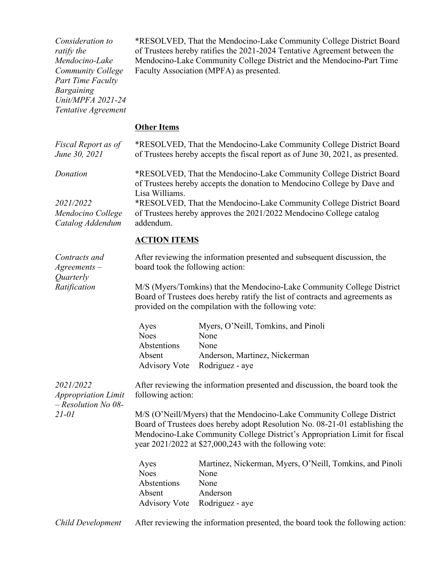| Consideration to<br>ratify the<br>Mendocino-Lake<br><b>Community College</b><br><b>Part Time Faculty</b><br><b>Bargaining</b><br>Unit/MPFA 2021-24<br>Tentative Agreement | *RESOLVED, That the Mendocino-Lake Community College District Board<br>of Trustees hereby ratifies the 2021-2024 Tentative Agreement between the<br>Mendocino-Lake Community College District and the Mendocino-Part Time<br>Faculty Association (MPFA) as presented.                             |                                                                                                                                                        |
|---------------------------------------------------------------------------------------------------------------------------------------------------------------------------|---------------------------------------------------------------------------------------------------------------------------------------------------------------------------------------------------------------------------------------------------------------------------------------------------|--------------------------------------------------------------------------------------------------------------------------------------------------------|
|                                                                                                                                                                           | <b>Other Items</b>                                                                                                                                                                                                                                                                                |                                                                                                                                                        |
| Fiscal Report as of<br>June 30, 2021                                                                                                                                      |                                                                                                                                                                                                                                                                                                   | *RESOLVED, That the Mendocino-Lake Community College District Board<br>of Trustees hereby accepts the fiscal report as of June 30, 2021, as presented. |
| Donation                                                                                                                                                                  | *RESOLVED, That the Mendocino-Lake Community College District Board<br>of Trustees hereby accepts the donation to Mendocino College by Dave and                                                                                                                                                   |                                                                                                                                                        |
| 2021/2022<br>Mendocino College<br>Catalog Addendum                                                                                                                        | Lisa Williams.<br>*RESOLVED, That the Mendocino-Lake Community College District Board<br>of Trustees hereby approves the 2021/2022 Mendocino College catalog<br>addendum.                                                                                                                         |                                                                                                                                                        |
|                                                                                                                                                                           | <b>ACTION ITEMS</b>                                                                                                                                                                                                                                                                               |                                                                                                                                                        |
| Contracts and<br>$A$ greements $-$<br>Quarterly<br>Ratification                                                                                                           | After reviewing the information presented and subsequent discussion, the<br>board took the following action:                                                                                                                                                                                      |                                                                                                                                                        |
|                                                                                                                                                                           | M/S (Myers/Tomkins) that the Mendocino-Lake Community College District<br>Board of Trustees does hereby ratify the list of contracts and agreements as<br>provided on the compilation with the following vote:                                                                                    |                                                                                                                                                        |
|                                                                                                                                                                           | Ayes<br><b>Noes</b><br>Abstentions<br>Absent<br><b>Advisory Vote</b>                                                                                                                                                                                                                              | Myers, O'Neill, Tomkins, and Pinoli<br>None<br>None<br>Anderson, Martinez, Nickerman<br>Rodriguez - aye                                                |
| 2021/2022<br><b>Appropriation Limit</b><br>$-$ Resolution No 08-<br>$21 - 01$                                                                                             | following action:                                                                                                                                                                                                                                                                                 | After reviewing the information presented and discussion, the board took the                                                                           |
|                                                                                                                                                                           | M/S (O'Neill/Myers) that the Mendocino-Lake Community College District<br>Board of Trustees does hereby adopt Resolution No. 08-21-01 establishing the<br>Mendocino-Lake Community College District's Appropriation Limit for fiscal<br>year $2021/2022$ at \$27,000,243 with the following vote: |                                                                                                                                                        |
|                                                                                                                                                                           | Ayes<br><b>Noes</b><br>Abstentions<br>Absent<br><b>Advisory Vote</b>                                                                                                                                                                                                                              | Martinez, Nickerman, Myers, O'Neill, Tomkins, and Pinoli<br>None<br>None<br>Anderson<br>Rodriguez - aye                                                |
| Child Development                                                                                                                                                         | After reviewing the information presented, the board took the following action:                                                                                                                                                                                                                   |                                                                                                                                                        |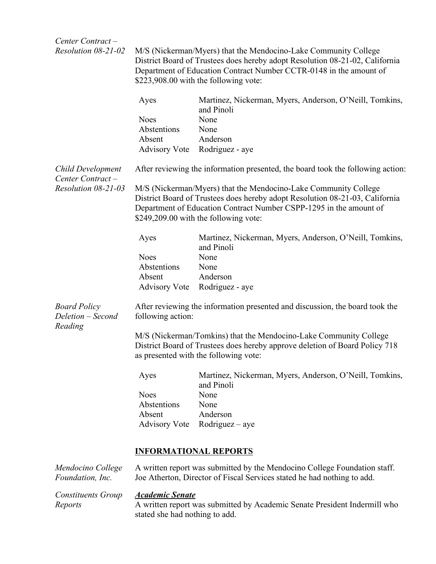| Center Contract-                                    |                                                                                                                                                                                                                                                                |                                                                                                                                                                                           |  |
|-----------------------------------------------------|----------------------------------------------------------------------------------------------------------------------------------------------------------------------------------------------------------------------------------------------------------------|-------------------------------------------------------------------------------------------------------------------------------------------------------------------------------------------|--|
| Resolution 08-21-02                                 | M/S (Nickerman/Myers) that the Mendocino-Lake Community College<br>District Board of Trustees does hereby adopt Resolution 08-21-02, California<br>Department of Education Contract Number CCTR-0148 in the amount of<br>\$223,908.00 with the following vote: |                                                                                                                                                                                           |  |
|                                                     | Ayes                                                                                                                                                                                                                                                           | Martinez, Nickerman, Myers, Anderson, O'Neill, Tomkins,<br>and Pinoli                                                                                                                     |  |
|                                                     | <b>Noes</b>                                                                                                                                                                                                                                                    | None                                                                                                                                                                                      |  |
|                                                     | Abstentions                                                                                                                                                                                                                                                    | None                                                                                                                                                                                      |  |
|                                                     | Absent                                                                                                                                                                                                                                                         | Anderson                                                                                                                                                                                  |  |
|                                                     | <b>Advisory Vote</b>                                                                                                                                                                                                                                           | Rodriguez - aye                                                                                                                                                                           |  |
| <b>Child Development</b><br>Center Contract-        |                                                                                                                                                                                                                                                                | After reviewing the information presented, the board took the following action:                                                                                                           |  |
| Resolution 08-21-03                                 | M/S (Nickerman/Myers) that the Mendocino-Lake Community College<br>District Board of Trustees does hereby adopt Resolution 08-21-03, California<br>Department of Education Contract Number CSPP-1295 in the amount of<br>\$249,209.00 with the following vote: |                                                                                                                                                                                           |  |
|                                                     | Ayes                                                                                                                                                                                                                                                           | Martinez, Nickerman, Myers, Anderson, O'Neill, Tomkins,<br>and Pinoli                                                                                                                     |  |
|                                                     | <b>Noes</b>                                                                                                                                                                                                                                                    | None                                                                                                                                                                                      |  |
|                                                     | Abstentions                                                                                                                                                                                                                                                    | None                                                                                                                                                                                      |  |
|                                                     | Absent                                                                                                                                                                                                                                                         | Anderson                                                                                                                                                                                  |  |
|                                                     | <b>Advisory Vote</b>                                                                                                                                                                                                                                           | Rodriguez - aye                                                                                                                                                                           |  |
| <b>Board Policy</b><br>Deletion – Second<br>Reading | following action:                                                                                                                                                                                                                                              | After reviewing the information presented and discussion, the board took the                                                                                                              |  |
|                                                     |                                                                                                                                                                                                                                                                | M/S (Nickerman/Tomkins) that the Mendocino-Lake Community College<br>District Board of Trustees does hereby approve deletion of Board Policy 718<br>as presented with the following vote: |  |
|                                                     | Ayes                                                                                                                                                                                                                                                           | Martinez, Nickerman, Myers, Anderson, O'Neill, Tomkins,<br>and Pinoli                                                                                                                     |  |
|                                                     | <b>Noes</b>                                                                                                                                                                                                                                                    | None                                                                                                                                                                                      |  |
|                                                     | Abstentions                                                                                                                                                                                                                                                    | None                                                                                                                                                                                      |  |
|                                                     | Absent                                                                                                                                                                                                                                                         | Anderson                                                                                                                                                                                  |  |
|                                                     | <b>Advisory Vote</b>                                                                                                                                                                                                                                           | $Rodriguez - aye$                                                                                                                                                                         |  |
|                                                     | <b>INFORMATIONAL REPORTS</b>                                                                                                                                                                                                                                   |                                                                                                                                                                                           |  |
| Mendocino College<br>Foundation, Inc.               |                                                                                                                                                                                                                                                                | A written report was submitted by the Mendocino College Foundation staff.<br>Joe Atherton, Director of Fiscal Services stated he had nothing to add.                                      |  |
| <b>Constituents Group</b><br>Reports                | <b>Academic Senate</b><br>stated she had nothing to add.                                                                                                                                                                                                       | A written report was submitted by Academic Senate President Indermill who                                                                                                                 |  |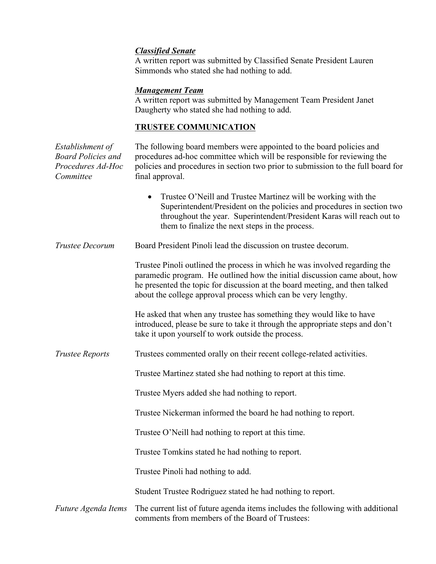## *Classified Senate*

A written report was submitted by Classified Senate President Lauren Simmonds who stated she had nothing to add.

## *Management Team*

A written report was submitted by Management Team President Janet Daugherty who stated she had nothing to add.

# **TRUSTEE COMMUNICATION**

| Establishment of<br><b>Board Policies and</b><br>Procedures Ad-Hoc<br>Committee | The following board members were appointed to the board policies and<br>procedures ad-hoc committee which will be responsible for reviewing the<br>policies and procedures in section two prior to submission to the full board for<br>final approval.                                                  |  |
|---------------------------------------------------------------------------------|---------------------------------------------------------------------------------------------------------------------------------------------------------------------------------------------------------------------------------------------------------------------------------------------------------|--|
|                                                                                 | Trustee O'Neill and Trustee Martinez will be working with the<br>$\bullet$<br>Superintendent/President on the policies and procedures in section two<br>throughout the year. Superintendent/President Karas will reach out to<br>them to finalize the next steps in the process.                        |  |
| <b>Trustee Decorum</b>                                                          | Board President Pinoli lead the discussion on trustee decorum.                                                                                                                                                                                                                                          |  |
|                                                                                 | Trustee Pinoli outlined the process in which he was involved regarding the<br>paramedic program. He outlined how the initial discussion came about, how<br>he presented the topic for discussion at the board meeting, and then talked<br>about the college approval process which can be very lengthy. |  |
|                                                                                 | He asked that when any trustee has something they would like to have<br>introduced, please be sure to take it through the appropriate steps and don't<br>take it upon yourself to work outside the process.                                                                                             |  |
| <b>Trustee Reports</b>                                                          | Trustees commented orally on their recent college-related activities.                                                                                                                                                                                                                                   |  |
|                                                                                 | Trustee Martinez stated she had nothing to report at this time.                                                                                                                                                                                                                                         |  |
|                                                                                 | Trustee Myers added she had nothing to report.                                                                                                                                                                                                                                                          |  |
|                                                                                 | Trustee Nickerman informed the board he had nothing to report.                                                                                                                                                                                                                                          |  |
|                                                                                 | Trustee O'Neill had nothing to report at this time.                                                                                                                                                                                                                                                     |  |
|                                                                                 | Trustee Tomkins stated he had nothing to report.                                                                                                                                                                                                                                                        |  |
|                                                                                 | Trustee Pinoli had nothing to add.                                                                                                                                                                                                                                                                      |  |
|                                                                                 | Student Trustee Rodriguez stated he had nothing to report.                                                                                                                                                                                                                                              |  |
| Future Agenda Items                                                             | The current list of future agenda items includes the following with additional<br>comments from members of the Board of Trustees:                                                                                                                                                                       |  |